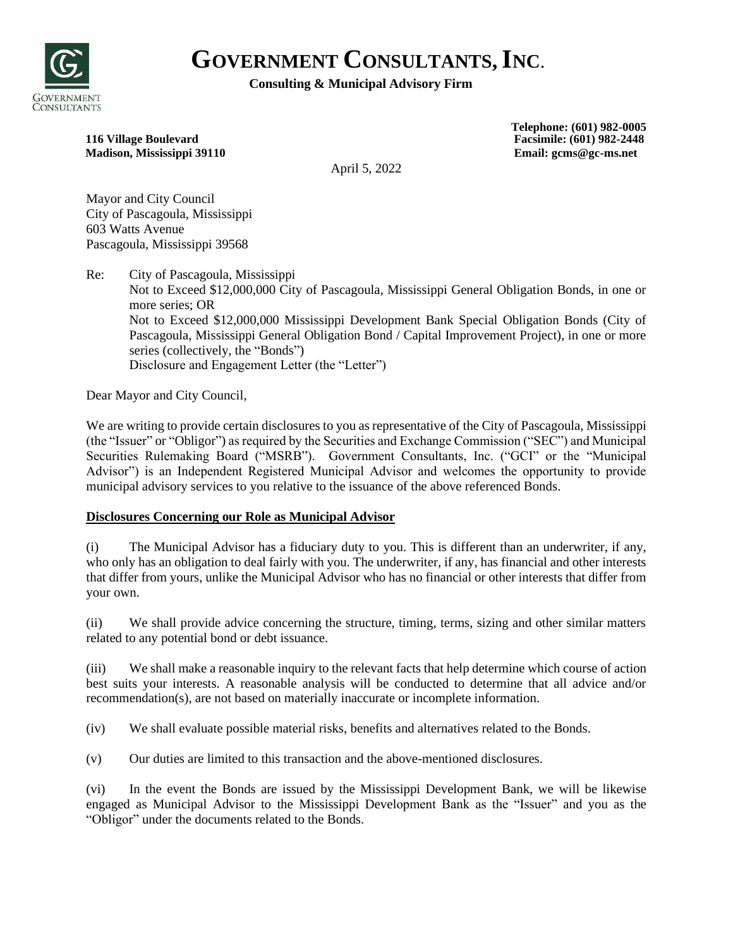

# **GOVERNMENT CONSULTANTS,INC**.

## **Consulting & Municipal Advisory Firm**

#### **116 Village Boulevard Facsimile: (601) 982-2448 Madison, Mississippi 39110 Email: gcms@gc-ms.net**

**Telephone: (601) 982-0005** 

April 5, 2022

Mayor and City Council City of Pascagoula, Mississippi 603 Watts Avenue Pascagoula, Mississippi 39568

Re: City of Pascagoula, Mississippi Not to Exceed \$12,000,000 City of Pascagoula, Mississippi General Obligation Bonds, in one or more series; OR Not to Exceed \$12,000,000 Mississippi Development Bank Special Obligation Bonds (City of Pascagoula, Mississippi General Obligation Bond / Capital Improvement Project), in one or more series (collectively, the "Bonds") Disclosure and Engagement Letter (the "Letter")

Dear Mayor and City Council,

We are writing to provide certain disclosures to you as representative of the City of Pascagoula, Mississippi (the "Issuer" or "Obligor") as required by the Securities and Exchange Commission ("SEC") and Municipal Securities Rulemaking Board ("MSRB"). Government Consultants, Inc. ("GCI" or the "Municipal Advisor") is an Independent Registered Municipal Advisor and welcomes the opportunity to provide municipal advisory services to you relative to the issuance of the above referenced Bonds.

# **Disclosures Concerning our Role as Municipal Advisor**

(i) The Municipal Advisor has a fiduciary duty to you. This is different than an underwriter, if any, who only has an obligation to deal fairly with you. The underwriter, if any, has financial and other interests that differ from yours, unlike the Municipal Advisor who has no financial or other interests that differ from your own.

(ii) We shall provide advice concerning the structure, timing, terms, sizing and other similar matters related to any potential bond or debt issuance.

(iii) We shall make a reasonable inquiry to the relevant facts that help determine which course of action best suits your interests. A reasonable analysis will be conducted to determine that all advice and/or recommendation(s), are not based on materially inaccurate or incomplete information.

(iv) We shall evaluate possible material risks, benefits and alternatives related to the Bonds.

(v) Our duties are limited to this transaction and the above-mentioned disclosures.

(vi) In the event the Bonds are issued by the Mississippi Development Bank, we will be likewise engaged as Municipal Advisor to the Mississippi Development Bank as the "Issuer" and you as the "Obligor" under the documents related to the Bonds.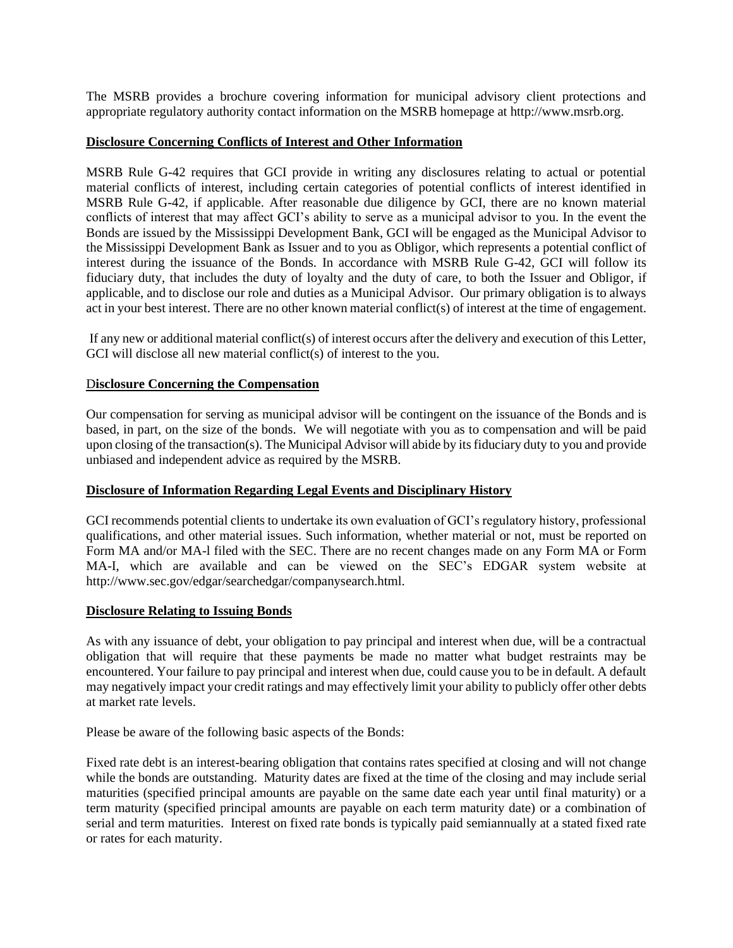The MSRB provides a brochure covering information for municipal advisory client protections and appropriate regulatory authority contact information on the MSRB homepage at http://www.msrb.org.

#### **Disclosure Concerning Conflicts of Interest and Other Information**

MSRB Rule G-42 requires that GCI provide in writing any disclosures relating to actual or potential material conflicts of interest, including certain categories of potential conflicts of interest identified in MSRB Rule G-42, if applicable. After reasonable due diligence by GCI, there are no known material conflicts of interest that may affect GCI's ability to serve as a municipal advisor to you. In the event the Bonds are issued by the Mississippi Development Bank, GCI will be engaged as the Municipal Advisor to the Mississippi Development Bank as Issuer and to you as Obligor, which represents a potential conflict of interest during the issuance of the Bonds. In accordance with MSRB Rule G-42, GCI will follow its fiduciary duty, that includes the duty of loyalty and the duty of care, to both the Issuer and Obligor, if applicable, and to disclose our role and duties as a Municipal Advisor. Our primary obligation is to always act in your best interest. There are no other known material conflict(s) of interest at the time of engagement.

If any new or additional material conflict(s) of interest occurs after the delivery and execution of this Letter, GCI will disclose all new material conflict(s) of interest to the you.

#### D**isclosure Concerning the Compensation**

Our compensation for serving as municipal advisor will be contingent on the issuance of the Bonds and is based, in part, on the size of the bonds. We will negotiate with you as to compensation and will be paid upon closing of the transaction(s). The Municipal Advisor will abide by its fiduciary duty to you and provide unbiased and independent advice as required by the MSRB.

### **Disclosure of Information Regarding Legal Events and Disciplinary History**

GCI recommends potential clients to undertake its own evaluation of GCI's regulatory history, professional qualifications, and other material issues. Such information, whether material or not, must be reported on Form MA and/or MA-l filed with the SEC. There are no recent changes made on any Form MA or Form MA-I, which are available and can be viewed on the SEC's EDGAR system website at http://www.sec.gov/edgar/searchedgar/companysearch.html.

#### **Disclosure Relating to Issuing Bonds**

As with any issuance of debt, your obligation to pay principal and interest when due, will be a contractual obligation that will require that these payments be made no matter what budget restraints may be encountered. Your failure to pay principal and interest when due, could cause you to be in default. A default may negatively impact your credit ratings and may effectively limit your ability to publicly offer other debts at market rate levels.

Please be aware of the following basic aspects of the Bonds:

Fixed rate debt is an interest-bearing obligation that contains rates specified at closing and will not change while the bonds are outstanding. Maturity dates are fixed at the time of the closing and may include serial maturities (specified principal amounts are payable on the same date each year until final maturity) or a term maturity (specified principal amounts are payable on each term maturity date) or a combination of serial and term maturities. Interest on fixed rate bonds is typically paid semiannually at a stated fixed rate or rates for each maturity.